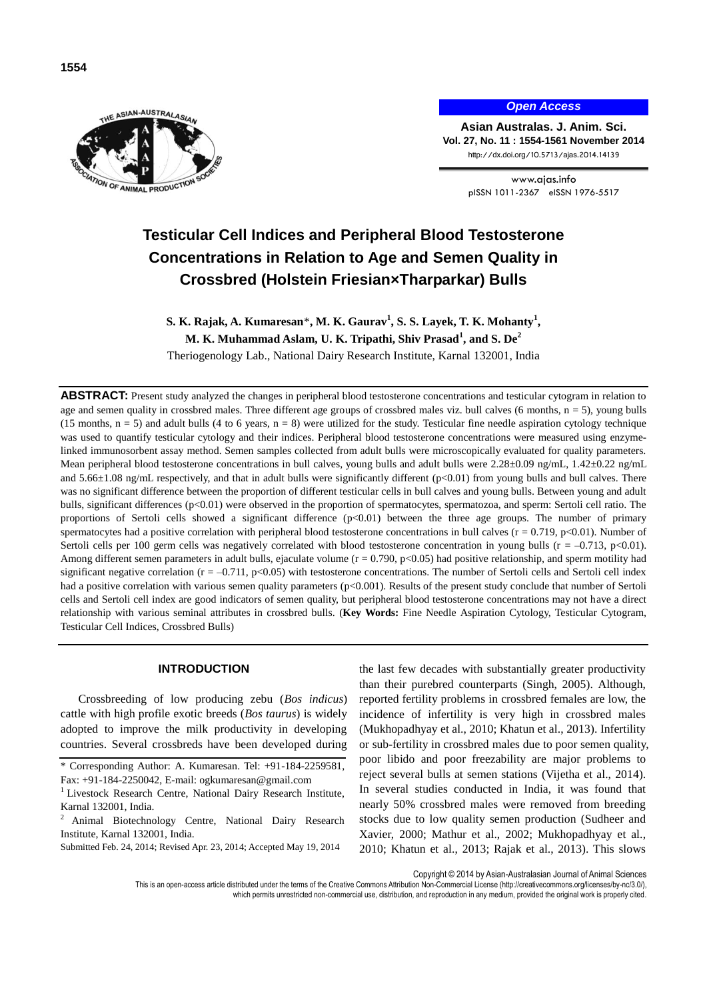

*Open Access*

**Asian Australas. J. Anim. Sci. Vol. 27, No. 11 : 1554-1561 November 2014** http://dx.doi.org/10.5713/ajas.2014.14139

> www.ajas.info pISSN 1011-2367 eISSN 1976-5517

# **Testicular Cell Indices and Peripheral Blood Testosterone Concentrations in Relation to Age and Semen Quality in Crossbred (Holstein Friesian×Tharparkar) Bulls**

**S. K. Rajak, A. Kumaresan**\***, M. K. Gaurav<sup>1</sup> , S. S. Layek, T. K. Mohanty<sup>1</sup> , M. K. Muhammad Aslam, U. K. Tripathi, Shiv Prasad<sup>1</sup> , and S. De<sup>2</sup>**

Theriogenology Lab., National Dairy Research Institute, Karnal 132001, India

**ABSTRACT:** Present study analyzed the changes in peripheral blood testosterone concentrations and testicular cytogram in relation to age and semen quality in crossbred males. Three different age groups of crossbred males viz. bull calves (6 months,  $n = 5$ ), young bulls (15 months,  $n = 5$ ) and adult bulls (4 to 6 years,  $n = 8$ ) were utilized for the study. Testicular fine needle aspiration cytology technique was used to quantify testicular cytology and their indices. Peripheral blood testosterone concentrations were measured using enzymelinked immunosorbent assay method. Semen samples collected from adult bulls were microscopically evaluated for quality parameters. Mean peripheral blood testosterone concentrations in bull calves, young bulls and adult bulls were 2.28±0.09 ng/mL, 1.42±0.22 ng/mL and 5.66 $\pm$ 1.08 ng/mL respectively, and that in adult bulls were significantly different (p<0.01) from young bulls and bull calves. There was no significant difference between the proportion of different testicular cells in bull calves and young bulls. Between young and adult bulls, significant differences (p<0.01) were observed in the proportion of spermatocytes, spermatozoa, and sperm: Sertoli cell ratio. The proportions of Sertoli cells showed a significant difference (p<0.01) between the three age groups. The number of primary spermatocytes had a positive correlation with peripheral blood testosterone concentrations in bull calves ( $r = 0.719$ ,  $p < 0.01$ ). Number of Sertoli cells per 100 germ cells was negatively correlated with blood testosterone concentration in young bulls ( $r = -0.713$ ,  $p < 0.01$ ). Among different semen parameters in adult bulls, ejaculate volume  $(r = 0.790, p < 0.05)$  had positive relationship, and sperm motility had significant negative correlation  $(r = -0.711, p < 0.05)$  with testosterone concentrations. The number of Sertoli cells and Sertoli cell index had a positive correlation with various semen quality parameters  $(p<0.001)$ . Results of the present study conclude that number of Sertoli cells and Sertoli cell index are good indicators of semen quality, but peripheral blood testosterone concentrations may not have a direct relationship with various seminal attributes in crossbred bulls. (**Key Words:** Fine Needle Aspiration Cytology, Testicular Cytogram, Testicular Cell Indices, Crossbred Bulls)

## **INTRODUCTION**

Crossbreeding of low producing zebu (*Bos indicus*) cattle with high profile exotic breeds (*Bos taurus*) is widely adopted to improve the milk productivity in developing countries. Several crossbreds have been developed during

the last few decades with substantially greater productivity than their purebred counterparts (Singh, 2005). Although, reported fertility problems in crossbred females are low, the incidence of infertility is very high in crossbred males (Mukhopadhyay et al., 2010; Khatun et al., 2013). Infertility or sub-fertility in crossbred males due to poor semen quality, poor libido and poor freezability are major problems to reject several bulls at semen stations (Vijetha et al., 2014). In several studies conducted in India, it was found that nearly 50% crossbred males were removed from breeding stocks due to low quality semen production (Sudheer and Xavier, 2000; Mathur et al., 2002; Mukhopadhyay et al., 2010; Khatun et al., 2013; Rajak et al., 2013). This slows

Copyright © 2014 by Asian-Australasian Journal of Animal Sciences

which permits unrestricted non-commercial use, distribution, and reproduction in any medium, provided the original work is properly cited.

<sup>\*</sup> Corresponding Author: A. Kumaresan. Tel: +91-184-2259581, Fax: +91-184-2250042, E-mail: ogkumaresan@gmail.com

<sup>&</sup>lt;sup>1</sup> Livestock Research Centre, National Dairy Research Institute, Karnal 132001, India.

<sup>2</sup> Animal Biotechnology Centre, National Dairy Research Institute, Karnal 132001, India.

Submitted Feb. 24, 2014; Revised Apr. 23, 2014; Accepted May 19, 2014

This is an open-access article distributed under the terms of the Creative Commons Attribution Non-Commercial License [\(http://creativecommons.org/licenses/by-nc/3.0/\),](http://creativecommons.org/licenses/by-nc/3.0/)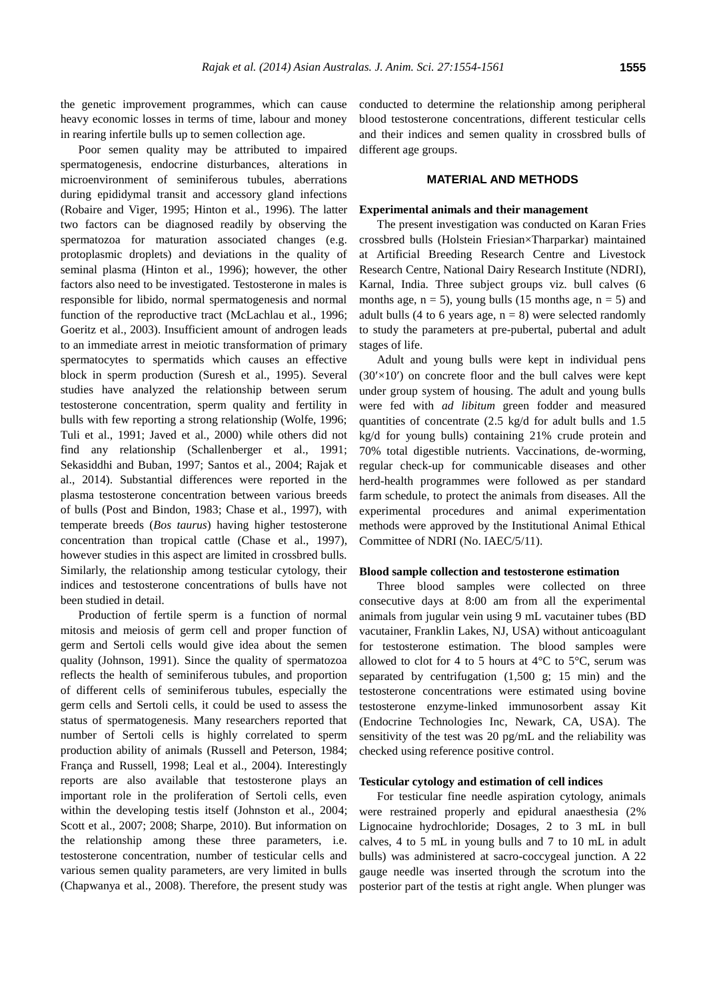the genetic improvement programmes, which can cause heavy economic losses in terms of time, labour and money in rearing infertile bulls up to semen collection age.

Poor semen quality may be attributed to impaired spermatogenesis, endocrine disturbances, alterations in microenvironment of seminiferous tubules, aberrations during epididymal transit and accessory gland infections (Robaire and Viger, 1995; Hinton et al., 1996). The latter two factors can be diagnosed readily by observing the spermatozoa for maturation associated changes (e.g. protoplasmic droplets) and deviations in the quality of seminal plasma (Hinton et al., 1996); however, the other factors also need to be investigated. Testosterone in males is responsible for libido, normal spermatogenesis and normal function of the reproductive tract (McLachlau et al., 1996; Goeritz et al., 2003). Insufficient amount of androgen leads to an immediate arrest in meiotic transformation of primary spermatocytes to spermatids which causes an effective block in sperm production (Suresh et al., 1995). Several studies have analyzed the relationship between serum testosterone concentration, sperm quality and fertility in bulls with few reporting a strong relationship (Wolfe, 1996; Tuli et al., 1991; Javed et al., 2000) while others did not find any relationship (Schallenberger et al., 1991; Sekasiddhi and Buban, 1997; Santos et al., 2004; Rajak et al., 2014). Substantial differences were reported in the plasma testosterone concentration between various breeds of bulls (Post and Bindon, 1983; Chase et al., 1997), with temperate breeds (*Bos taurus*) having higher testosterone concentration than tropical cattle (Chase et al., 1997), however studies in this aspect are limited in crossbred bulls. Similarly, the relationship among testicular cytology, their indices and testosterone concentrations of bulls have not been studied in detail.

Production of fertile sperm is a function of normal mitosis and meiosis of germ cell and proper function of germ and Sertoli cells would give idea about the semen quality (Johnson, 1991). Since the quality of spermatozoa reflects the health of seminiferous tubules, and proportion of different cells of seminiferous tubules, especially the germ cells and Sertoli cells, it could be used to assess the status of spermatogenesis. Many researchers reported that number of Sertoli cells is highly correlated to sperm production ability of animals (Russell and Peterson, 1984; França and Russell, 1998; Leal et al., 2004). Interestingly reports are also available that testosterone plays an important role in the proliferation of Sertoli cells, even within the developing testis itself (Johnston et al., 2004; Scott et al., 2007; 2008; Sharpe, 2010). But information on the relationship among these three parameters, i.e. testosterone concentration, number of testicular cells and various semen quality parameters, are very limited in bulls (Chapwanya et al., 2008). Therefore, the present study was

conducted to determine the relationship among peripheral blood testosterone concentrations, different testicular cells and their indices and semen quality in crossbred bulls of different age groups.

## **MATERIAL AND METHODS**

#### **Experimental animals and their management**

The present investigation was conducted on Karan Fries crossbred bulls (Holstein Friesian×Tharparkar) maintained at Artificial Breeding Research Centre and Livestock Research Centre, National Dairy Research Institute (NDRI), Karnal, India. Three subject groups viz. bull calves (6 months age,  $n = 5$ ), young bulls (15 months age,  $n = 5$ ) and adult bulls (4 to 6 years age,  $n = 8$ ) were selected randomly to study the parameters at pre-pubertal, pubertal and adult stages of life.

Adult and young bulls were kept in individual pens  $(30'\times10')$  on concrete floor and the bull calves were kept under group system of housing. The adult and young bulls were fed with *ad libitum* green fodder and measured quantities of concentrate (2.5 kg/d for adult bulls and 1.5 kg/d for young bulls) containing 21% crude protein and 70% total digestible nutrients. Vaccinations, de-worming, regular check-up for communicable diseases and other herd-health programmes were followed as per standard farm schedule, to protect the animals from diseases. All the experimental procedures and animal experimentation methods were approved by the Institutional Animal Ethical Committee of NDRI (No. IAEC/5/11).

## **Blood sample collection and testosterone estimation**

Three blood samples were collected on three consecutive days at 8:00 am from all the experimental animals from jugular vein using 9 mL vacutainer tubes (BD vacutainer, Franklin Lakes, NJ, USA) without anticoagulant for testosterone estimation. The blood samples were allowed to clot for 4 to 5 hours at  $4^{\circ}C$  to  $5^{\circ}C$ , serum was separated by centrifugation (1,500 g; 15 min) and the testosterone concentrations were estimated using bovine testosterone enzyme-linked immunosorbent assay Kit (Endocrine Technologies Inc, Newark, CA, USA). The sensitivity of the test was 20 pg/mL and the reliability was checked using reference positive control.

#### **Testicular cytology and estimation of cell indices**

For testicular fine needle aspiration cytology, animals were restrained properly and epidural anaesthesia (2% Lignocaine hydrochloride; Dosages, 2 to 3 mL in bull calves, 4 to 5 mL in young bulls and 7 to 10 mL in adult bulls) was administered at sacro-coccygeal junction. A 22 gauge needle was inserted through the scrotum into the posterior part of the testis at right angle. When plunger was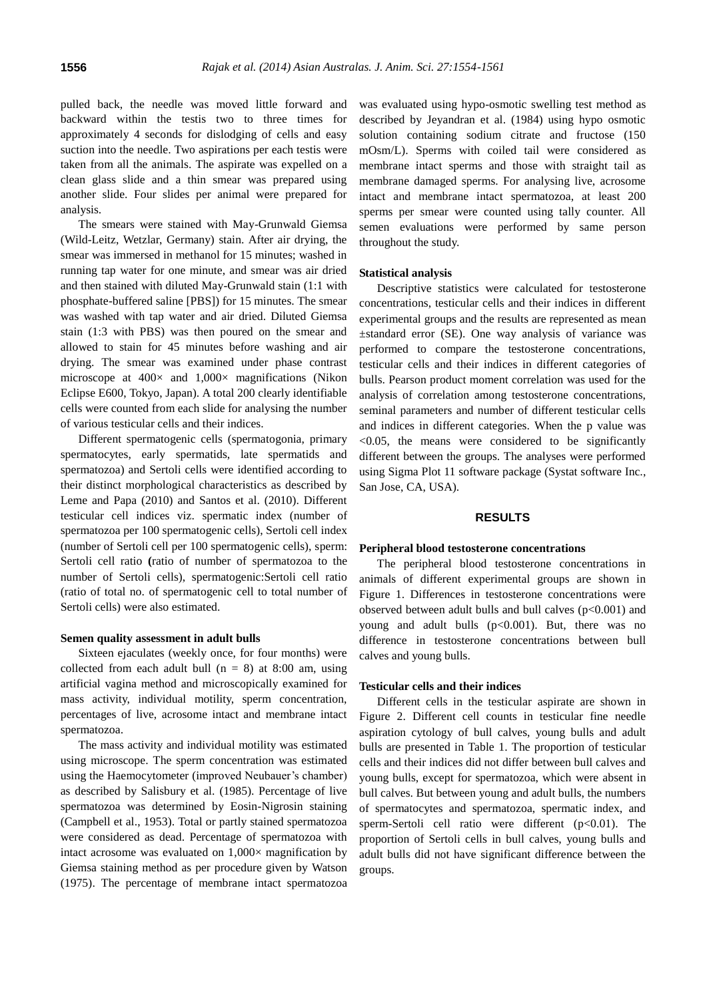pulled back, the needle was moved little forward and backward within the testis two to three times for approximately 4 seconds for dislodging of cells and easy suction into the needle. Two aspirations per each testis were taken from all the animals. The aspirate was expelled on a clean glass slide and a thin smear was prepared using another slide. Four slides per animal were prepared for analysis.

The smears were stained with May-Grunwald Giemsa (Wild-Leitz, Wetzlar, Germany) stain. After air drying, the smear was immersed in methanol for 15 minutes; washed in running tap water for one minute, and smear was air dried and then stained with diluted May-Grunwald stain (1:1 with phosphate-buffered saline [PBS]) for 15 minutes. The smear was washed with tap water and air dried. Diluted Giemsa stain (1:3 with PBS) was then poured on the smear and allowed to stain for 45 minutes before washing and air drying. The smear was examined under phase contrast microscope at  $400 \times$  and  $1,000 \times$  magnifications (Nikon Eclipse E600, Tokyo, Japan). A total 200 clearly identifiable cells were counted from each slide for analysing the number of various testicular cells and their indices.

Different spermatogenic cells (spermatogonia, primary spermatocytes, early spermatids, late spermatids and spermatozoa) and Sertoli cells were identified according to their distinct morphological characteristics as described by Leme and Papa (2010) and Santos et al. (2010). Different testicular cell indices viz. spermatic index (number of spermatozoa per 100 spermatogenic cells), Sertoli cell index (number of Sertoli cell per 100 spermatogenic cells), sperm: Sertoli cell ratio **(**ratio of number of spermatozoa to the number of Sertoli cells), spermatogenic:Sertoli cell ratio (ratio of total no. of spermatogenic cell to total number of Sertoli cells) were also estimated.

## **Semen quality assessment in adult bulls**

Sixteen ejaculates (weekly once, for four months) were collected from each adult bull  $(n = 8)$  at 8:00 am, using artificial vagina method and microscopically examined for mass activity, individual motility, sperm concentration, percentages of live, acrosome intact and membrane intact spermatozoa.

The mass activity and individual motility was estimated using microscope. The sperm concentration was estimated using the Haemocytometer (improved Neubauer's chamber) as described by Salisbury et al. (1985). Percentage of live spermatozoa was determined by Eosin-Nigrosin staining (Campbell et al., 1953). Total or partly stained spermatozoa were considered as dead. Percentage of spermatozoa with intact acrosome was evaluated on  $1,000\times$  magnification by Giemsa staining method as per procedure given by Watson (1975). The percentage of membrane intact spermatozoa

was evaluated using hypo-osmotic swelling test method as described by Jeyandran et al. (1984) using hypo osmotic solution containing sodium citrate and fructose (150 mOsm/L). Sperms with coiled tail were considered as membrane intact sperms and those with straight tail as membrane damaged sperms. For analysing live, acrosome intact and membrane intact spermatozoa, at least 200 sperms per smear were counted using tally counter. All semen evaluations were performed by same person throughout the study.

#### **Statistical analysis**

Descriptive statistics were calculated for testosterone concentrations, testicular cells and their indices in different experimental groups and the results are represented as mean ±standard error (SE). One way analysis of variance was performed to compare the testosterone concentrations, testicular cells and their indices in different categories of bulls. Pearson product moment correlation was used for the analysis of correlation among testosterone concentrations, seminal parameters and number of different testicular cells and indices in different categories. When the p value was <0.05, the means were considered to be significantly different between the groups. The analyses were performed using Sigma Plot 11 software package (Systat software Inc., San Jose, CA, USA).

# **RESULTS**

#### **Peripheral blood testosterone concentrations**

The peripheral blood testosterone concentrations in animals of different experimental groups are shown in Figure 1. Differences in testosterone concentrations were observed between adult bulls and bull calves  $(p<0.001)$  and young and adult bulls  $(p<0.001)$ . But, there was no difference in testosterone concentrations between bull calves and young bulls.

#### **Testicular cells and their indices**

Different cells in the testicular aspirate are shown in Figure 2. Different cell counts in testicular fine needle aspiration cytology of bull calves, young bulls and adult bulls are presented in Table 1. The proportion of testicular cells and their indices did not differ between bull calves and young bulls, except for spermatozoa, which were absent in bull calves. But between young and adult bulls, the numbers of spermatocytes and spermatozoa, spermatic index, and sperm-Sertoli cell ratio were different (p<0.01). The proportion of Sertoli cells in bull calves, young bulls and adult bulls did not have significant difference between the groups.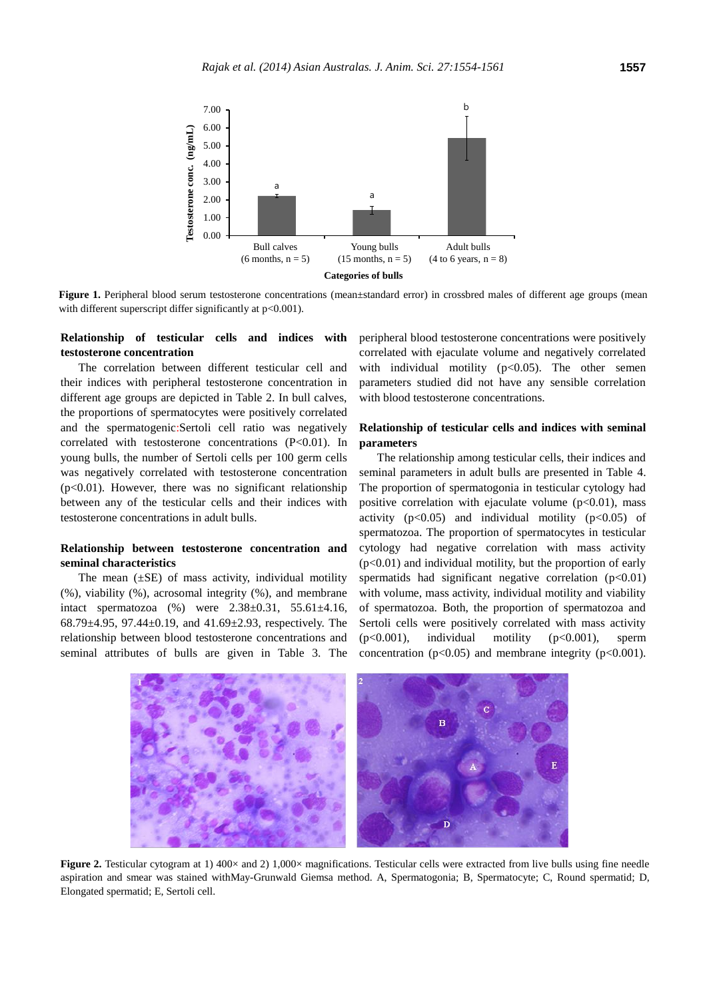

**Figure 1.** Peripheral blood serum testosterone concentrations (mean±standard error) in crossbred males of different age groups (mean with different superscript differ significantly at p<0.001).

# **Relationship of testicular cells and indices with testosterone concentration**

The correlation between different testicular cell and their indices with peripheral testosterone concentration in different age groups are depicted in Table 2. In bull calves, the proportions of spermatocytes were positively correlated and the spermatogenic:Sertoli cell ratio was negatively correlated with testosterone concentrations (P<0.01). In young bulls, the number of Sertoli cells per 100 germ cells was negatively correlated with testosterone concentration (p<0.01). However, there was no significant relationship between any of the testicular cells and their indices with testosterone concentrations in adult bulls.

## **Relationship between testosterone concentration and seminal characteristics**

The mean  $(\pm SE)$  of mass activity, individual motility (%), viability (%), acrosomal integrity (%), and membrane intact spermatozoa (%) were 2.38±0.31, 55.61±4.16, 68.79 $\pm$ 4.95, 97.44 $\pm$ 0.19, and 41.69 $\pm$ 2.93, respectively. The relationship between blood testosterone concentrations and seminal attributes of bulls are given in Table 3. The peripheral blood testosterone concentrations were positively correlated with ejaculate volume and negatively correlated with individual motility  $(p<0.05)$ . The other semen parameters studied did not have any sensible correlation with blood testosterone concentrations.

# **Relationship of testicular cells and indices with seminal parameters**

The relationship among testicular cells, their indices and seminal parameters in adult bulls are presented in Table 4. The proportion of spermatogonia in testicular cytology had positive correlation with ejaculate volume  $(p<0.01)$ , mass activity  $(p<0.05)$  and individual motility  $(p<0.05)$  of spermatozoa. The proportion of spermatocytes in testicular cytology had negative correlation with mass activity  $(p<0.01)$  and individual motility, but the proportion of early spermatids had significant negative correlation  $(p<0.01)$ with volume, mass activity, individual motility and viability of spermatozoa. Both, the proportion of spermatozoa and Sertoli cells were positively correlated with mass activity (p<0.001), individual motility (p<0.001), sperm concentration ( $p<0.05$ ) and membrane integrity ( $p<0.001$ ).



**Figure 2.** Testicular cytogram at 1) 400× and 2) 1,000× magnifications. Testicular cells were extracted from live bulls using fine needle aspiration and smear was stained withMay-Grunwald Giemsa method. A, Spermatogonia; B, Spermatocyte; C, Round spermatid; D, Elongated spermatid; E, Sertoli cell.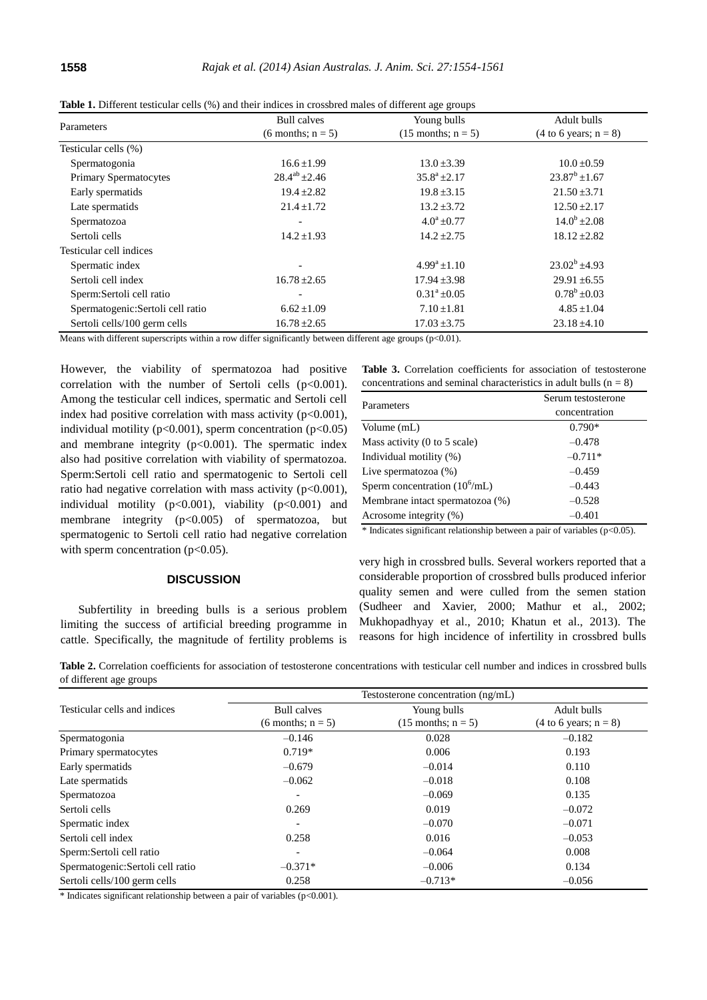|                                   | <b>Bull</b> calves       | Young bulls             | Adult bulls                              |  |
|-----------------------------------|--------------------------|-------------------------|------------------------------------------|--|
| Parameters                        | $(6$ months; $n = 5$ )   | $(15$ months; $n = 5$ ) | $(4 \text{ to } 6 \text{ years}; n = 8)$ |  |
| Testicular cells (%)              |                          |                         |                                          |  |
| Spermatogonia                     | $16.6 \pm 1.99$          | $13.0 \pm 3.39$         | $10.0 \pm 0.59$                          |  |
| <b>Primary Spermatocytes</b>      | $28.4^{ab} \pm 2.46$     | $35.8^a \pm 2.17$       | $23.87^b \pm 1.67$                       |  |
| Early spermatids                  | $19.4 \pm 2.82$          | $19.8 \pm 3.15$         | $21.50 \pm 3.71$                         |  |
| Late spermatids                   | $21.4 \pm 1.72$          | $13.2 \pm 3.72$         | $12.50 \pm 2.17$                         |  |
| Spermatozoa                       |                          | $4.0^a \pm 0.77$        | $14.0^b \pm 2.08$                        |  |
| Sertoli cells                     | $14.2 \pm 1.93$          | $14.2 \pm 2.75$         | $18.12 \pm 2.82$                         |  |
| Testicular cell indices           |                          |                         |                                          |  |
| Spermatic index                   | $\overline{\phantom{a}}$ | $4.99^a + 1.10$         | $23.02^b \pm 4.93$                       |  |
| Sertoli cell index                | $16.78 \pm 2.65$         | $17.94 \pm 3.98$        | $29.91 \pm 6.55$                         |  |
| Sperm:Sertoli cell ratio          | $\overline{\phantom{0}}$ | $0.31^a \pm 0.05$       | $0.78^b \pm 0.03$                        |  |
| Spermatogenic: Sertoli cell ratio | $6.62 \pm 1.09$          | $7.10 \pm 1.81$         | $4.85 \pm 1.04$                          |  |
| Sertoli cells/100 germ cells      | $16.78 \pm 2.65$         | $17.03 \pm 3.75$        | $23.18 \pm 4.10$                         |  |

**Table 1.** Different testicular cells (%) and their indices in crossbred males of different age groups

Means with different superscripts within a row differ significantly between different age groups (p<0.01).

However, the viability of spermatozoa had positive correlation with the number of Sertoli cells  $(p<0.001)$ . Among the testicular cell indices, spermatic and Sertoli cell index had positive correlation with mass activity  $(p<0.001)$ , individual motility ( $p<0.001$ ), sperm concentration ( $p<0.05$ ) and membrane integrity  $(p<0.001)$ . The spermatic index also had positive correlation with viability of spermatozoa. Sperm:Sertoli cell ratio and spermatogenic to Sertoli cell ratio had negative correlation with mass activity  $(p<0.001)$ , individual motility (p<0.001), viability (p<0.001) and membrane integrity (p<0.005) of spermatozoa, but spermatogenic to Sertoli cell ratio had negative correlation with sperm concentration  $(p<0.05)$ .

#### **DISCUSSION**

Subfertility in breeding bulls is a serious problem limiting the success of artificial breeding programme in cattle. Specifically, the magnitude of fertility problems is

|                                                                       |  |  | <b>Table 3.</b> Correlation coefficients for association of testosterone |  |  |  |  |
|-----------------------------------------------------------------------|--|--|--------------------------------------------------------------------------|--|--|--|--|
| concentrations and seminal characteristics in adult bulls ( $n = 8$ ) |  |  |                                                                          |  |  |  |  |

| Parameters                                      | Serum testosterone |  |  |  |
|-------------------------------------------------|--------------------|--|--|--|
|                                                 | concentration      |  |  |  |
| Volume (mL)                                     | $0.790*$           |  |  |  |
| Mass activity $(0 \text{ to } 5 \text{ scale})$ | $-0.478$           |  |  |  |
| Individual motility (%)                         | $-0.711*$          |  |  |  |
| Live spermatozoa $(\%)$                         | $-0.459$           |  |  |  |
| Sperm concentration $(10^6 \text{/mL})$         | $-0.443$           |  |  |  |
| Membrane intact spermatozoa (%)                 | $-0.528$           |  |  |  |
| Acrosome integrity (%)                          | $-0.401$           |  |  |  |

\* Indicates significant relationship between a pair of variables (p<0.05).

very high in crossbred bulls. Several workers reported that a considerable proportion of crossbred bulls produced inferior quality semen and were culled from the semen station (Sudheer and Xavier, 2000; Mathur et al., 2002; Mukhopadhyay et al., 2010; Khatun et al., 2013). The reasons for high incidence of infertility in crossbred bulls

**Table 2.** Correlation coefficients for association of testosterone concentrations with testicular cell number and indices in crossbred bulls of different age groups

|                                   | Testosterone concentration (ng/mL) |                         |                                          |  |  |
|-----------------------------------|------------------------------------|-------------------------|------------------------------------------|--|--|
| Testicular cells and indices      | <b>Bull calves</b>                 | Young bulls             | Adult bulls                              |  |  |
|                                   | $(6$ months; $n = 5$ )             | $(15$ months; $n = 5$ ) | $(4 \text{ to } 6 \text{ years}; n = 8)$ |  |  |
| Spermatogonia                     | $-0.146$                           | 0.028                   | $-0.182$                                 |  |  |
| Primary spermatocytes             | $0.719*$                           | 0.006                   | 0.193                                    |  |  |
| Early spermatids                  | $-0.679$                           | $-0.014$                | 0.110                                    |  |  |
| Late spermatids                   | $-0.062$                           | $-0.018$                | 0.108                                    |  |  |
| Spermatozoa                       | $\overline{\phantom{a}}$           | $-0.069$                | 0.135                                    |  |  |
| Sertoli cells                     | 0.269                              | 0.019                   | $-0.072$                                 |  |  |
| Spermatic index                   | $\overline{\phantom{a}}$           | $-0.070$                | $-0.071$                                 |  |  |
| Sertoli cell index                | 0.258                              | 0.016                   | $-0.053$                                 |  |  |
| Sperm:Sertoli cell ratio          | $\overline{\phantom{a}}$           | $-0.064$                | 0.008                                    |  |  |
| Spermatogenic: Sertoli cell ratio | $-0.371*$                          | $-0.006$                | 0.134                                    |  |  |
| Sertoli cells/100 germ cells      | 0.258                              | $-0.713*$               | $-0.056$                                 |  |  |

\* Indicates significant relationship between a pair of variables (p<0.001).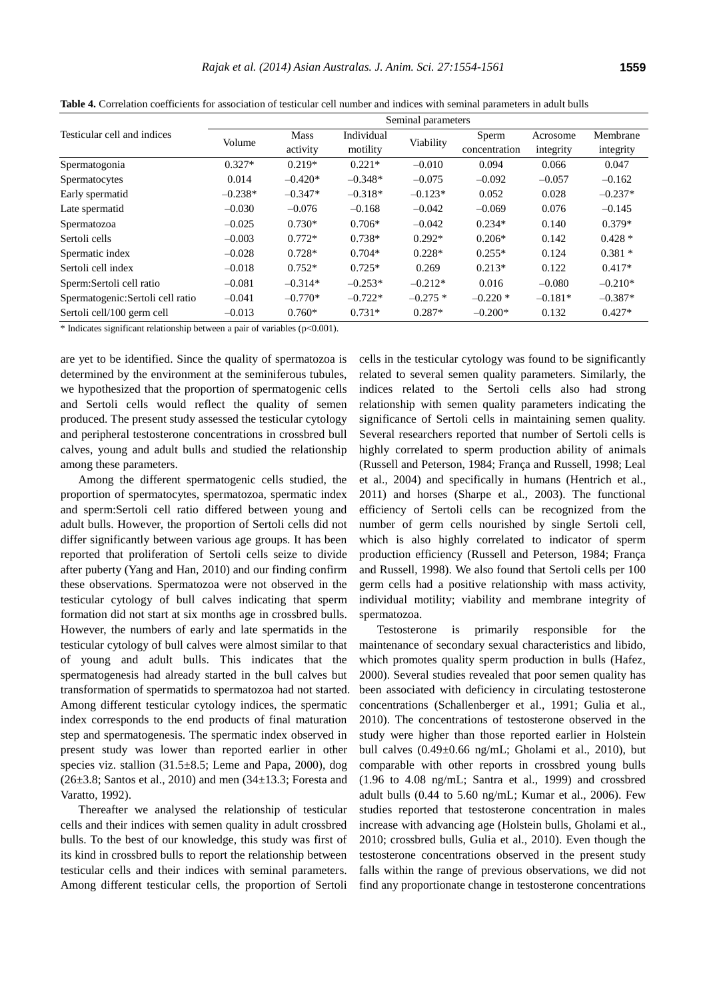|                                   | Seminal parameters |             |            |           |               |           |           |
|-----------------------------------|--------------------|-------------|------------|-----------|---------------|-----------|-----------|
| Testicular cell and indices       | Volume             | <b>Mass</b> | Individual | Viability | Sperm         | Acrosome  | Membrane  |
|                                   |                    | activity    | motility   |           | concentration | integrity | integrity |
| Spermatogonia                     | $0.327*$           | $0.219*$    | $0.221*$   | $-0.010$  | 0.094         | 0.066     | 0.047     |
| Spermatocytes                     | 0.014              | $-0.420*$   | $-0.348*$  | $-0.075$  | $-0.092$      | $-0.057$  | $-0.162$  |
| Early spermatid                   | $-0.238*$          | $-0.347*$   | $-0.318*$  | $-0.123*$ | 0.052         | 0.028     | $-0.237*$ |
| Late spermatid                    | $-0.030$           | $-0.076$    | $-0.168$   | $-0.042$  | $-0.069$      | 0.076     | $-0.145$  |
| Spermatozoa                       | $-0.025$           | $0.730*$    | $0.706*$   | $-0.042$  | $0.234*$      | 0.140     | $0.379*$  |
| Sertoli cells                     | $-0.003$           | $0.772*$    | $0.738*$   | $0.292*$  | $0.206*$      | 0.142     | $0.428*$  |
| Spermatic index                   | $-0.028$           | $0.728*$    | $0.704*$   | $0.228*$  | $0.255*$      | 0.124     | $0.381*$  |
| Sertoli cell index                | $-0.018$           | $0.752*$    | $0.725*$   | 0.269     | $0.213*$      | 0.122     | $0.417*$  |
| Sperm:Sertoli cell ratio          | $-0.081$           | $-0.314*$   | $-0.253*$  | $-0.212*$ | 0.016         | $-0.080$  | $-0.210*$ |
| Spermatogenic: Sertoli cell ratio | $-0.041$           | $-0.770*$   | $-0.722*$  | $-0.275*$ | $-0.220*$     | $-0.181*$ | $-0.387*$ |
| Sertoli cell/100 germ cell        | $-0.013$           | $0.760*$    | $0.731*$   | $0.287*$  | $-0.200*$     | 0.132     | $0.427*$  |

**Table 4.** Correlation coefficients for association of testicular cell number and indices with seminal parameters in adult bulls

 $*$  Indicates significant relationship between a pair of variables ( $p<0.001$ ).

are yet to be identified. Since the quality of spermatozoa is determined by the environment at the seminiferous tubules, we hypothesized that the proportion of spermatogenic cells and Sertoli cells would reflect the quality of semen produced. The present study assessed the testicular cytology and peripheral testosterone concentrations in crossbred bull calves, young and adult bulls and studied the relationship among these parameters.

Among the different spermatogenic cells studied, the proportion of spermatocytes, spermatozoa, spermatic index and sperm:Sertoli cell ratio differed between young and adult bulls. However, the proportion of Sertoli cells did not differ significantly between various age groups. It has been reported that proliferation of Sertoli cells seize to divide after puberty (Yang and Han, 2010) and our finding confirm these observations. Spermatozoa were not observed in the testicular cytology of bull calves indicating that sperm formation did not start at six months age in crossbred bulls. However, the numbers of early and late spermatids in the testicular cytology of bull calves were almost similar to that of young and adult bulls. This indicates that the spermatogenesis had already started in the bull calves but transformation of spermatids to spermatozoa had not started. Among different testicular cytology indices, the spermatic index corresponds to the end products of final maturation step and spermatogenesis. The spermatic index observed in present study was lower than reported earlier in other species viz. stallion  $(31.5\pm8.5;$  Leme and Papa, 2000), dog  $(26±3.8; Santos et al., 2010)$  and men  $(34±13.3; Foresta and$ Varatto, 1992).

Thereafter we analysed the relationship of testicular cells and their indices with semen quality in adult crossbred bulls. To the best of our knowledge, this study was first of its kind in crossbred bulls to report the relationship between testicular cells and their indices with seminal parameters. Among different testicular cells, the proportion of Sertoli cells in the testicular cytology was found to be significantly related to several semen quality parameters. Similarly, the indices related to the Sertoli cells also had strong relationship with semen quality parameters indicating the significance of Sertoli cells in maintaining semen quality. Several researchers reported that number of Sertoli cells is highly correlated to sperm production ability of animals (Russell and Peterson, 1984; França and Russell, 1998; Leal et al., 2004) and specifically in humans (Hentrich et al., 2011) and horses (Sharpe et al., 2003). The functional efficiency of Sertoli cells can be recognized from the number of germ cells nourished by single Sertoli cell, which is also highly correlated to indicator of sperm production efficiency (Russell and Peterson, 1984; França and Russell, 1998). We also found that Sertoli cells per 100 germ cells had a positive relationship with mass activity, individual motility; viability and membrane integrity of spermatozoa.

Testosterone is primarily responsible for the maintenance of secondary sexual characteristics and libido, which promotes quality sperm production in bulls (Hafez, 2000). Several studies revealed that poor semen quality has been associated with deficiency in circulating testosterone concentrations (Schallenberger et al., 1991; Gulia et al., 2010). The concentrations of testosterone observed in the study were higher than those reported earlier in Holstein bull calves  $(0.49\pm0.66 \text{ ng/mL}$ ; Gholami et al., 2010), but comparable with other reports in crossbred young bulls (1.96 to 4.08 ng/mL; Santra et al., 1999) and crossbred adult bulls (0.44 to 5.60 ng/mL; Kumar et al., 2006). Few studies reported that testosterone concentration in males increase with advancing age (Holstein bulls, Gholami et al., 2010; crossbred bulls, Gulia et al., 2010). Even though the testosterone concentrations observed in the present study falls within the range of previous observations, we did not find any proportionate change in testosterone concentrations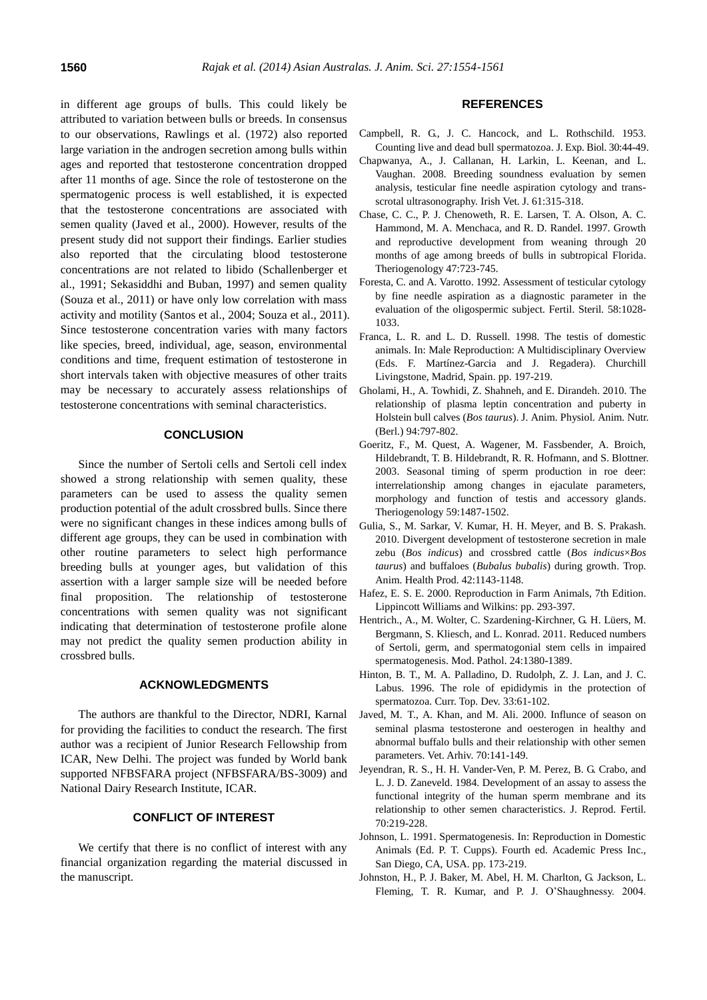in different age groups of bulls. This could likely be attributed to variation between bulls or breeds. In consensus to our observations, Rawlings et al. (1972) also reported large variation in the androgen secretion among bulls within ages and reported that testosterone concentration dropped after 11 months of age. Since the role of testosterone on the spermatogenic process is well established, it is expected that the testosterone concentrations are associated with semen quality (Javed et al., 2000). However, results of the present study did not support their findings. Earlier studies also reported that the circulating blood testosterone concentrations are not related to libido (Schallenberger et al., 1991; Sekasiddhi and Buban, 1997) and semen quality (Souza et al., 2011) or have only low correlation with mass activity and motility (Santos et al., 2004; Souza et al., 2011). Since testosterone concentration varies with many factors like species, breed, individual, age, season, environmental conditions and time, frequent estimation of testosterone in short intervals taken with objective measures of other traits may be necessary to accurately assess relationships of testosterone concentrations with seminal characteristics.

## **CONCLUSION**

Since the number of Sertoli cells and Sertoli cell index showed a strong relationship with semen quality, these parameters can be used to assess the quality semen production potential of the adult crossbred bulls. Since there were no significant changes in these indices among bulls of different age groups, they can be used in combination with other routine parameters to select high performance breeding bulls at younger ages, but validation of this assertion with a larger sample size will be needed before final proposition. The relationship of testosterone concentrations with semen quality was not significant indicating that determination of testosterone profile alone may not predict the quality semen production ability in crossbred bulls.

# **ACKNOWLEDGMENTS**

The authors are thankful to the Director, NDRI, Karnal for providing the facilities to conduct the research. The first author was a recipient of Junior Research Fellowship from ICAR, New Delhi. The project was funded by World bank supported NFBSFARA project (NFBSFARA/BS-3009) and National Dairy Research Institute, ICAR.

## **CONFLICT OF INTEREST**

We certify that there is no conflict of interest with any financial organization regarding the material discussed in the manuscript.

# **REFERENCES**

- Campbell, R. G., J. C. Hancock, and L. Rothschild. 1953. [Counting live and dead bull spermatozoa.](http://jeb.biologists.org/content/30/1/44.short) J. Exp. Biol. 30:44-49.
- Chapwanya, A., J. Callanan, H. Larkin, L. Keenan, and L. Vaughan. 2008. [Breeding soundness evaluation by semen](http://www.ncbi.nlm.nih.gov/pmc/articles/PMC3113862/)  [analysis, testicular fine needle aspiration cytology and trans](http://www.ncbi.nlm.nih.gov/pmc/articles/PMC3113862/)[scrotal ultrasonography.](http://www.ncbi.nlm.nih.gov/pmc/articles/PMC3113862/) Irish Vet. J. 61:315-318.
- Chase, C. C., P. J. Chenoweth, R. E. Larsen, T. A. Olson, A. C. Hammond, M. A. Menchaca, and R. D. Randel. 1997. [Growth](http://www.theriojournal.com/article/S0093-691X(97)00030-7/abstract)  [and reproductive development from weaning through 20](http://www.theriojournal.com/article/S0093-691X(97)00030-7/abstract)  [months of age among breeds of bulls in subtropical Florida.](http://www.theriojournal.com/article/S0093-691X(97)00030-7/abstract) Theriogenology 47:723-745.
- Foresta, C. and A. Varotto. 1992. Assessment of testicular cytology by fine needle aspiration as a diagnostic parameter in the evaluation of the oligospermic subject. Fertil. Steril. 58:1028- 1033.
- Franca, L. R. and L. D. Russell. 1998. The testis of domestic animals. In: Male Reproduction: A Multidisciplinary Overview (Eds. F. Martínez-Garcia and J. Regadera). Churchill Livingstone, Madrid, Spain. pp. 197-219.
- Gholami, H., A. Towhidi, Z. Shahneh, and E. Dirandeh. 2010[. The](http://onlinelibrary.wiley.com/doi/10.1111/j.1439-0396.2009.00970.x/abstract;jsessionid=BB11820B6FF71AE1D6465C887F9E3936.f02t03?deniedAccessCustomisedMessage=&userIsAuthenticated=false)  [relationship of plasma leptin concentration and puberty in](http://onlinelibrary.wiley.com/doi/10.1111/j.1439-0396.2009.00970.x/abstract;jsessionid=BB11820B6FF71AE1D6465C887F9E3936.f02t03?deniedAccessCustomisedMessage=&userIsAuthenticated=false)  [Holstein bull calves \(](http://onlinelibrary.wiley.com/doi/10.1111/j.1439-0396.2009.00970.x/abstract;jsessionid=BB11820B6FF71AE1D6465C887F9E3936.f02t03?deniedAccessCustomisedMessage=&userIsAuthenticated=false)*Bos taurus*). J. Anim. Physiol. Anim. Nutr. (Berl.) 94:797-802.
- Goeritz, F., M. Quest, A. Wagener, M. Fassbender, A. Broich, Hildebrandt, T. B. Hildebrandt, R. R. Hofmann, and S. Blottner. 2003. [Seasonal timing of sperm production in roe deer:](http://www.sciencedirect.com/science/article/pii/S0093691X02012013)  [interrelationship among changes in ejaculate parameters,](http://www.sciencedirect.com/science/article/pii/S0093691X02012013)  [morphology and function of testis and accessory glands.](http://www.sciencedirect.com/science/article/pii/S0093691X02012013) Theriogenology 59:1487-1502.
- Gulia, S., M. Sarkar, V. Kumar, H. H. Meyer, and B. S. Prakash. 2010. [Divergent development of testosterone secretion in male](http://link.springer.com/article/10.1007/s11250-010-9538-x)  zebu (*Bos indicus*[\) and crossbred cattle \(](http://link.springer.com/article/10.1007/s11250-010-9538-x)*Bos indicus*×*Bos taurus*[\) and buffaloes \(](http://link.springer.com/article/10.1007/s11250-010-9538-x)*Bubalus bubalis*) during growth. Trop. Anim. Health Prod. 42:1143-1148.
- Hafez, E. S. E. 2000. Reproduction in Farm Animals, 7th Edition. Lippincott Williams and Wilkins: pp. 293-397.
- Hentrich., A., M. Wolter, C. Szardening-Kirchner, G. H. Lüers, M. Bergmann, S. Kliesch, and L. Konrad. 2011[. Reduced numbers](http://www.nature.com/modpathol/journal/v24/n10/abs/modpathol201197a.html)  [of Sertoli, germ, and spermatogonial stem cells in impaired](http://www.nature.com/modpathol/journal/v24/n10/abs/modpathol201197a.html)  [spermatogenesis.](http://www.nature.com/modpathol/journal/v24/n10/abs/modpathol201197a.html) Mod. Pathol. 24:1380-1389.
- Hinton, B. T., M. A. Palladino, D. Rudolph, Z. J. Lan, and J. C. Labus. 1996. The role of epididymis in the protection of spermatozoa. Curr. Top. Dev. 33:61-102.
- Javed, M. T., A. Khan, and M. Ali. 2000. [Influnce of season on](http://hrcak.srce.hr/index.php?show=clanak&id_clanak_jezik=143037)  [seminal plasma testosterone and oesterogen in healthy and](http://hrcak.srce.hr/index.php?show=clanak&id_clanak_jezik=143037)  [abnormal buffalo bulls and their relationship with other semen](http://hrcak.srce.hr/index.php?show=clanak&id_clanak_jezik=143037)  [parameters.](http://hrcak.srce.hr/index.php?show=clanak&id_clanak_jezik=143037) Vet. Arhiv. 70:141-149.
- Jeyendran, R. S., H. H. Vander-Ven, P. M. Perez, B. G. Crabo, and L. J. D. Zaneveld. 1984. [Development of an assay to assess the](http://www.reproduction-online.org/content/70/1/219.short)  [functional integrity of the human sperm membrane and its](http://www.reproduction-online.org/content/70/1/219.short)  [relationship to other semen characteristics.](http://www.reproduction-online.org/content/70/1/219.short) J. Reprod. Fertil. 70:219-228.
- Johnson, L. 1991. Spermatogenesis. In: Reproduction in Domestic Animals (Ed. P. T. Cupps). Fourth ed. Academic Press Inc., San Diego, CA, USA. pp. 173-219.
- Johnston, H., P. J. Baker, M. Abel, H. M. Charlton, G. Jackson, L. Fleming, T. R. Kumar, and P. J. O'Shaughnessy. 2004.